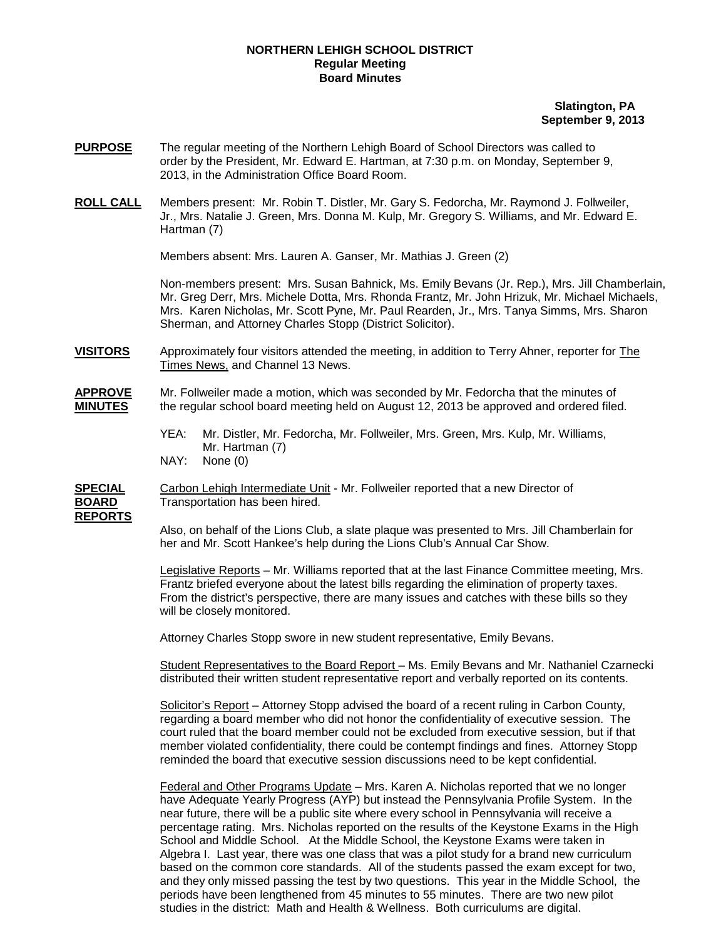## **NORTHERN LEHIGH SCHOOL DISTRICT Regular Meeting Board Minutes**

## **Slatington, PA September 9, 2013**

- **PURPOSE** The regular meeting of the Northern Lehigh Board of School Directors was called to order by the President, Mr. Edward E. Hartman, at 7:30 p.m. on Monday, September 9, 2013, in the Administration Office Board Room.
- **ROLL CALL** Members present: Mr. Robin T. Distler, Mr. Gary S. Fedorcha, Mr. Raymond J. Follweiler, Jr., Mrs. Natalie J. Green, Mrs. Donna M. Kulp, Mr. Gregory S. Williams, and Mr. Edward E. Hartman (7)

Members absent: Mrs. Lauren A. Ganser, Mr. Mathias J. Green (2)

Non-members present: Mrs. Susan Bahnick, Ms. Emily Bevans (Jr. Rep.), Mrs. Jill Chamberlain, Mr. Greg Derr, Mrs. Michele Dotta, Mrs. Rhonda Frantz, Mr. John Hrizuk, Mr. Michael Michaels, Mrs. Karen Nicholas, Mr. Scott Pyne, Mr. Paul Rearden, Jr., Mrs. Tanya Simms, Mrs. Sharon Sherman, and Attorney Charles Stopp (District Solicitor).

**VISITORS** Approximately four visitors attended the meeting, in addition to Terry Ahner, reporter for The Times News, and Channel 13 News.

## **APPROVE** Mr. Follweiler made a motion, which was seconded by Mr. Fedorcha that the minutes of **MINUTES** the regular school board meeting held on August 12, 2013 be approved and ordered filed.

- YEA: Mr. Distler, Mr. Fedorcha, Mr. Follweiler, Mrs. Green, Mrs. Kulp, Mr. Williams, Mr. Hartman (7) NAY: None (0)
- 

**SPECIAL** Carbon Lehigh Intermediate Unit - Mr. Follweiler reported that a new Director of **BOARD** Transportation has been hired.

**REPORTS**

Also, on behalf of the Lions Club, a slate plaque was presented to Mrs. Jill Chamberlain for her and Mr. Scott Hankee's help during the Lions Club's Annual Car Show.

Legislative Reports – Mr. Williams reported that at the last Finance Committee meeting, Mrs. Frantz briefed everyone about the latest bills regarding the elimination of property taxes. From the district's perspective, there are many issues and catches with these bills so they will be closely monitored.

Attorney Charles Stopp swore in new student representative, Emily Bevans.

Student Representatives to the Board Report – Ms. Emily Bevans and Mr. Nathaniel Czarnecki distributed their written student representative report and verbally reported on its contents.

Solicitor's Report – Attorney Stopp advised the board of a recent ruling in Carbon County, regarding a board member who did not honor the confidentiality of executive session. The court ruled that the board member could not be excluded from executive session, but if that member violated confidentiality, there could be contempt findings and fines. Attorney Stopp reminded the board that executive session discussions need to be kept confidential.

Federal and Other Programs Update – Mrs. Karen A. Nicholas reported that we no longer have Adequate Yearly Progress (AYP) but instead the Pennsylvania Profile System. In the near future, there will be a public site where every school in Pennsylvania will receive a percentage rating. Mrs. Nicholas reported on the results of the Keystone Exams in the High School and Middle School. At the Middle School, the Keystone Exams were taken in Algebra I. Last year, there was one class that was a pilot study for a brand new curriculum based on the common core standards. All of the students passed the exam except for two, and they only missed passing the test by two questions. This year in the Middle School, the periods have been lengthened from 45 minutes to 55 minutes. There are two new pilot studies in the district: Math and Health & Wellness. Both curriculums are digital.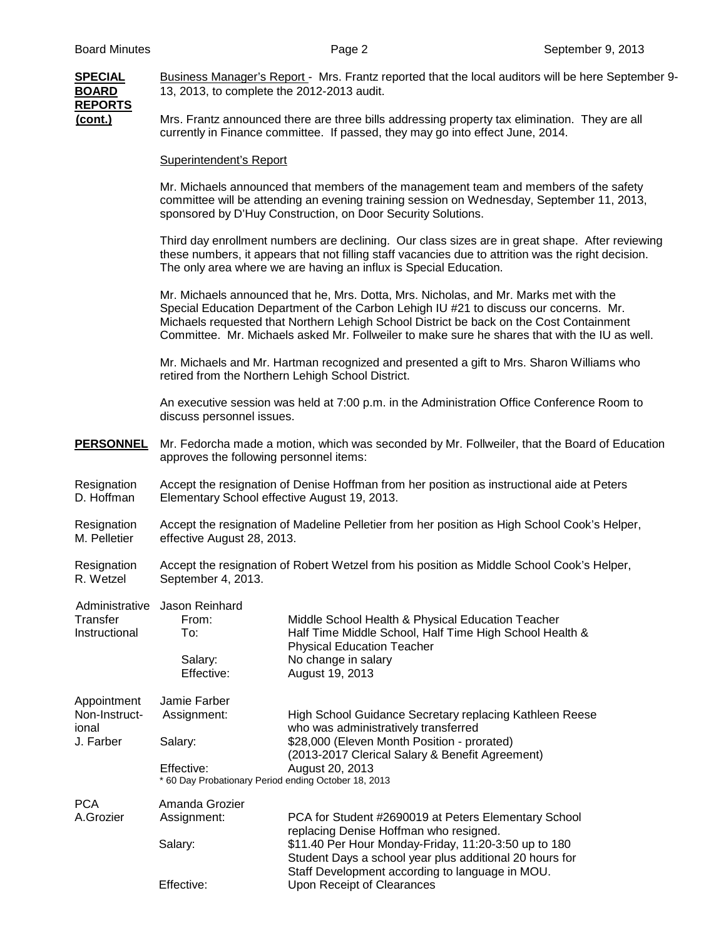| <b>SPECIAL</b><br><b>BOARD</b><br><b>REPORTS</b><br>$($ cont. $)$ | Business Manager's Report - Mrs. Frantz reported that the local auditors will be here September 9-<br>13, 2013, to complete the 2012-2013 audit.                                                                                                                                                                                                                           |                                                                                                                                                                                                   |  |  |  |
|-------------------------------------------------------------------|----------------------------------------------------------------------------------------------------------------------------------------------------------------------------------------------------------------------------------------------------------------------------------------------------------------------------------------------------------------------------|---------------------------------------------------------------------------------------------------------------------------------------------------------------------------------------------------|--|--|--|
|                                                                   | Mrs. Frantz announced there are three bills addressing property tax elimination. They are all<br>currently in Finance committee. If passed, they may go into effect June, 2014.                                                                                                                                                                                            |                                                                                                                                                                                                   |  |  |  |
|                                                                   | <b>Superintendent's Report</b>                                                                                                                                                                                                                                                                                                                                             |                                                                                                                                                                                                   |  |  |  |
|                                                                   | Mr. Michaels announced that members of the management team and members of the safety<br>committee will be attending an evening training session on Wednesday, September 11, 2013,<br>sponsored by D'Huy Construction, on Door Security Solutions.                                                                                                                          |                                                                                                                                                                                                   |  |  |  |
|                                                                   | Third day enrollment numbers are declining. Our class sizes are in great shape. After reviewing<br>these numbers, it appears that not filling staff vacancies due to attrition was the right decision.<br>The only area where we are having an influx is Special Education.                                                                                                |                                                                                                                                                                                                   |  |  |  |
|                                                                   | Mr. Michaels announced that he, Mrs. Dotta, Mrs. Nicholas, and Mr. Marks met with the<br>Special Education Department of the Carbon Lehigh IU #21 to discuss our concerns. Mr.<br>Michaels requested that Northern Lehigh School District be back on the Cost Containment<br>Committee. Mr. Michaels asked Mr. Follweiler to make sure he shares that with the IU as well. |                                                                                                                                                                                                   |  |  |  |
|                                                                   | Mr. Michaels and Mr. Hartman recognized and presented a gift to Mrs. Sharon Williams who<br>retired from the Northern Lehigh School District.                                                                                                                                                                                                                              |                                                                                                                                                                                                   |  |  |  |
|                                                                   | An executive session was held at 7:00 p.m. in the Administration Office Conference Room to<br>discuss personnel issues.                                                                                                                                                                                                                                                    |                                                                                                                                                                                                   |  |  |  |
| <b>PERSONNEL</b>                                                  | approves the following personnel items:                                                                                                                                                                                                                                                                                                                                    | Mr. Fedorcha made a motion, which was seconded by Mr. Follweiler, that the Board of Education                                                                                                     |  |  |  |
| Resignation<br>D. Hoffman                                         | Accept the resignation of Denise Hoffman from her position as instructional aide at Peters<br>Elementary School effective August 19, 2013.                                                                                                                                                                                                                                 |                                                                                                                                                                                                   |  |  |  |
| Resignation<br>M. Pelletier                                       | Accept the resignation of Madeline Pelletier from her position as High School Cook's Helper,<br>effective August 28, 2013.                                                                                                                                                                                                                                                 |                                                                                                                                                                                                   |  |  |  |
| Resignation<br>R. Wetzel                                          | Accept the resignation of Robert Wetzel from his position as Middle School Cook's Helper,<br>September 4, 2013.                                                                                                                                                                                                                                                            |                                                                                                                                                                                                   |  |  |  |
| Transfer<br>Instructional                                         | Administrative Jason Reinhard<br>From:<br>To:<br>Salary:<br>Effective:                                                                                                                                                                                                                                                                                                     | Middle School Health & Physical Education Teacher<br>Half Time Middle School, Half Time High School Health &<br><b>Physical Education Teacher</b><br>No change in salary<br>August 19, 2013       |  |  |  |
| Appointment<br>Non-Instruct-<br>ional<br>J. Farber                | Jamie Farber<br>Assignment:                                                                                                                                                                                                                                                                                                                                                | High School Guidance Secretary replacing Kathleen Reese<br>who was administratively transferred<br>\$28,000 (Eleven Month Position - prorated)<br>(2013-2017 Clerical Salary & Benefit Agreement) |  |  |  |
|                                                                   | Salary:                                                                                                                                                                                                                                                                                                                                                                    |                                                                                                                                                                                                   |  |  |  |
|                                                                   | Effective:<br>* 60 Day Probationary Period ending October 18, 2013                                                                                                                                                                                                                                                                                                         | August 20, 2013                                                                                                                                                                                   |  |  |  |
| <b>PCA</b><br>A.Grozier                                           | Amanda Grozier<br>Assignment:                                                                                                                                                                                                                                                                                                                                              | PCA for Student #2690019 at Peters Elementary School                                                                                                                                              |  |  |  |
|                                                                   | Salary:                                                                                                                                                                                                                                                                                                                                                                    | replacing Denise Hoffman who resigned.<br>\$11.40 Per Hour Monday-Friday, 11:20-3:50 up to 180<br>Student Days a school year plus additional 20 hours for                                         |  |  |  |

Staff Development according to language in MOU.

Effective: Upon Receipt of Clearances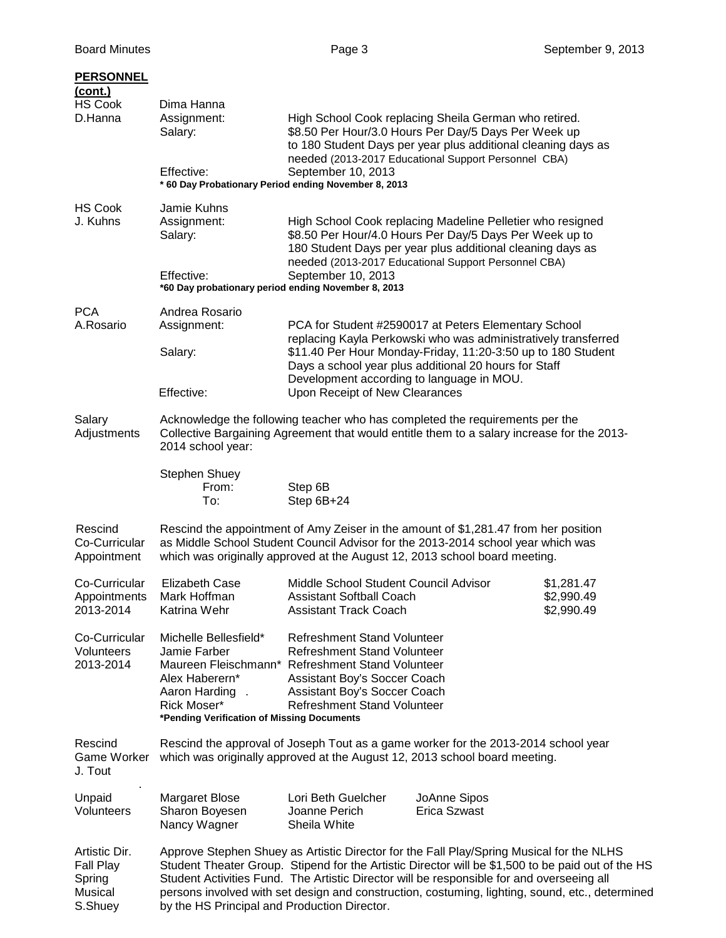| <b>PERSONNEL</b><br>(cont.)<br><b>HS Cook</b><br>D.Hanna   | Dima Hanna<br>Assignment:<br>Salary:<br>Effective:<br>* 60 Day Probationary Period ending November 8, 2013                                                                                                                                            | September 10, 2013                                                                                                                                                                                                                                                                                                                                                                            | High School Cook replacing Sheila German who retired.<br>\$8.50 Per Hour/3.0 Hours Per Day/5 Days Per Week up<br>to 180 Student Days per year plus additional cleaning days as<br>needed (2013-2017 Educational Support Personnel CBA)          |                                        |
|------------------------------------------------------------|-------------------------------------------------------------------------------------------------------------------------------------------------------------------------------------------------------------------------------------------------------|-----------------------------------------------------------------------------------------------------------------------------------------------------------------------------------------------------------------------------------------------------------------------------------------------------------------------------------------------------------------------------------------------|-------------------------------------------------------------------------------------------------------------------------------------------------------------------------------------------------------------------------------------------------|----------------------------------------|
| <b>HS Cook</b><br>J. Kuhns                                 | Jamie Kuhns<br>Assignment:<br>Salary:<br>Effective:<br>*60 Day probationary period ending November 8, 2013                                                                                                                                            | September 10, 2013                                                                                                                                                                                                                                                                                                                                                                            | High School Cook replacing Madeline Pelletier who resigned<br>\$8.50 Per Hour/4.0 Hours Per Day/5 Days Per Week up to<br>180 Student Days per year plus additional cleaning days as<br>needed (2013-2017 Educational Support Personnel CBA)     |                                        |
| <b>PCA</b><br>A.Rosario                                    | Andrea Rosario<br>Assignment:<br>Salary:<br>Effective:                                                                                                                                                                                                | Development according to language in MOU.<br>Upon Receipt of New Clearances                                                                                                                                                                                                                                                                                                                   | PCA for Student #2590017 at Peters Elementary School<br>replacing Kayla Perkowski who was administratively transferred<br>\$11.40 Per Hour Monday-Friday, 11:20-3:50 up to 180 Student<br>Days a school year plus additional 20 hours for Staff |                                        |
| Salary<br>Adjustments                                      | 2014 school year:<br>Stephen Shuey<br>From:<br>To:                                                                                                                                                                                                    | Acknowledge the following teacher who has completed the requirements per the<br>Collective Bargaining Agreement that would entitle them to a salary increase for the 2013-<br>Step 6B<br>Step 6B+24                                                                                                                                                                                           |                                                                                                                                                                                                                                                 |                                        |
| Rescind<br>Co-Curricular<br>Appointment                    | Rescind the appointment of Amy Zeiser in the amount of \$1,281.47 from her position<br>as Middle School Student Council Advisor for the 2013-2014 school year which was<br>which was originally approved at the August 12, 2013 school board meeting. |                                                                                                                                                                                                                                                                                                                                                                                               |                                                                                                                                                                                                                                                 |                                        |
| Co-Curricular<br>Appointments<br>2013-2014                 | <b>Elizabeth Case</b><br>Mark Hoffman<br>Katrina Wehr                                                                                                                                                                                                 | Middle School Student Council Advisor<br><b>Assistant Softball Coach</b><br><b>Assistant Track Coach</b>                                                                                                                                                                                                                                                                                      |                                                                                                                                                                                                                                                 | \$1,281.47<br>\$2,990.49<br>\$2,990.49 |
| Co-Curricular<br>Volunteers<br>2013-2014                   | Michelle Bellesfield*<br>Jamie Farber<br>Maureen Fleischmann*<br>Alex Haberern*<br>Aaron Harding.<br>Rick Moser*<br>*Pending Verification of Missing Documents                                                                                        | <b>Refreshment Stand Volunteer</b><br><b>Refreshment Stand Volunteer</b><br><b>Refreshment Stand Volunteer</b><br>Assistant Boy's Soccer Coach<br>Assistant Boy's Soccer Coach<br><b>Refreshment Stand Volunteer</b>                                                                                                                                                                          |                                                                                                                                                                                                                                                 |                                        |
| Rescind<br><b>Game Worker</b><br>J. Tout                   |                                                                                                                                                                                                                                                       | Rescind the approval of Joseph Tout as a game worker for the 2013-2014 school year<br>which was originally approved at the August 12, 2013 school board meeting.                                                                                                                                                                                                                              |                                                                                                                                                                                                                                                 |                                        |
| Unpaid<br>Volunteers                                       | <b>Margaret Blose</b><br>Sharon Boyesen<br>Nancy Wagner                                                                                                                                                                                               | Lori Beth Guelcher<br>Joanne Perich<br>Sheila White                                                                                                                                                                                                                                                                                                                                           | JoAnne Sipos<br>Erica Szwast                                                                                                                                                                                                                    |                                        |
| Artistic Dir.<br>Fall Play<br>Spring<br>Musical<br>S.Shuey | by the HS Principal and Production Director.                                                                                                                                                                                                          | Approve Stephen Shuey as Artistic Director for the Fall Play/Spring Musical for the NLHS<br>Student Theater Group. Stipend for the Artistic Director will be \$1,500 to be paid out of the HS<br>Student Activities Fund. The Artistic Director will be responsible for and overseeing all<br>persons involved with set design and construction, costuming, lighting, sound, etc., determined |                                                                                                                                                                                                                                                 |                                        |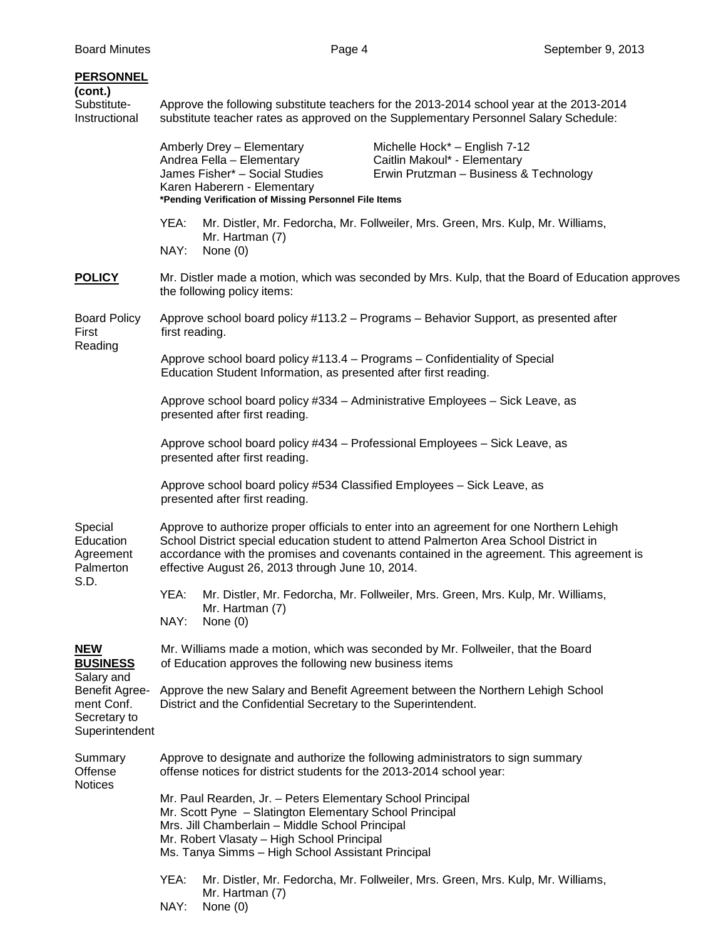| <b>PERSONNEL</b><br>(cont.)<br>Substitute-<br>Instructional                                                   | Approve the following substitute teachers for the 2013-2014 school year at the 2013-2014<br>substitute teacher rates as approved on the Supplementary Personnel Salary Schedule:                                                                                            |                                                                                                                                                                                  |                                                                                                                                                                                                                                                                               |  |  |
|---------------------------------------------------------------------------------------------------------------|-----------------------------------------------------------------------------------------------------------------------------------------------------------------------------------------------------------------------------------------------------------------------------|----------------------------------------------------------------------------------------------------------------------------------------------------------------------------------|-------------------------------------------------------------------------------------------------------------------------------------------------------------------------------------------------------------------------------------------------------------------------------|--|--|
|                                                                                                               |                                                                                                                                                                                                                                                                             | Amberly Drey - Elementary<br>Andrea Fella - Elementary<br>James Fisher* - Social Studies<br>Karen Haberern - Elementary<br>*Pending Verification of Missing Personnel File Items | Michelle Hock* - English 7-12<br>Caitlin Makoul* - Elementary<br>Erwin Prutzman - Business & Technology                                                                                                                                                                       |  |  |
|                                                                                                               | YEA:<br>NAY:                                                                                                                                                                                                                                                                | Mr. Hartman (7)<br>None $(0)$                                                                                                                                                    | Mr. Distler, Mr. Fedorcha, Mr. Follweiler, Mrs. Green, Mrs. Kulp, Mr. Williams,                                                                                                                                                                                               |  |  |
| <b>POLICY</b>                                                                                                 | Mr. Distler made a motion, which was seconded by Mrs. Kulp, that the Board of Education approves<br>the following policy items:                                                                                                                                             |                                                                                                                                                                                  |                                                                                                                                                                                                                                                                               |  |  |
| <b>Board Policy</b><br>First<br>Reading                                                                       | Approve school board policy #113.2 – Programs – Behavior Support, as presented after<br>first reading.                                                                                                                                                                      |                                                                                                                                                                                  |                                                                                                                                                                                                                                                                               |  |  |
|                                                                                                               | Approve school board policy #113.4 - Programs - Confidentiality of Special<br>Education Student Information, as presented after first reading.                                                                                                                              |                                                                                                                                                                                  |                                                                                                                                                                                                                                                                               |  |  |
|                                                                                                               | Approve school board policy #334 - Administrative Employees - Sick Leave, as<br>presented after first reading.                                                                                                                                                              |                                                                                                                                                                                  |                                                                                                                                                                                                                                                                               |  |  |
|                                                                                                               | Approve school board policy #434 - Professional Employees - Sick Leave, as<br>presented after first reading.                                                                                                                                                                |                                                                                                                                                                                  |                                                                                                                                                                                                                                                                               |  |  |
|                                                                                                               | Approve school board policy #534 Classified Employees - Sick Leave, as<br>presented after first reading.                                                                                                                                                                    |                                                                                                                                                                                  |                                                                                                                                                                                                                                                                               |  |  |
| Special<br>Education<br>Agreement<br>Palmerton<br>S.D.                                                        |                                                                                                                                                                                                                                                                             | effective August 26, 2013 through June 10, 2014.                                                                                                                                 | Approve to authorize proper officials to enter into an agreement for one Northern Lehigh<br>School District special education student to attend Palmerton Area School District in<br>accordance with the promises and covenants contained in the agreement. This agreement is |  |  |
|                                                                                                               | YEA:<br>NAY:                                                                                                                                                                                                                                                                | Mr. Hartman (7)<br>None $(0)$                                                                                                                                                    | Mr. Distler, Mr. Fedorcha, Mr. Follweiler, Mrs. Green, Mrs. Kulp, Mr. Williams,                                                                                                                                                                                               |  |  |
| <b>NEW</b><br><b>BUSINESS</b><br>Salary and<br>Benefit Agree-<br>ment Conf.<br>Secretary to<br>Superintendent | Mr. Williams made a motion, which was seconded by Mr. Follweiler, that the Board<br>of Education approves the following new business items                                                                                                                                  |                                                                                                                                                                                  |                                                                                                                                                                                                                                                                               |  |  |
|                                                                                                               | Approve the new Salary and Benefit Agreement between the Northern Lehigh School<br>District and the Confidential Secretary to the Superintendent.                                                                                                                           |                                                                                                                                                                                  |                                                                                                                                                                                                                                                                               |  |  |
| Summary<br>Offense<br><b>Notices</b>                                                                          | Approve to designate and authorize the following administrators to sign summary<br>offense notices for district students for the 2013-2014 school year:                                                                                                                     |                                                                                                                                                                                  |                                                                                                                                                                                                                                                                               |  |  |
|                                                                                                               | Mr. Paul Rearden, Jr. - Peters Elementary School Principal<br>Mr. Scott Pyne - Slatington Elementary School Principal<br>Mrs. Jill Chamberlain - Middle School Principal<br>Mr. Robert Vlasaty - High School Principal<br>Ms. Tanya Simms - High School Assistant Principal |                                                                                                                                                                                  |                                                                                                                                                                                                                                                                               |  |  |
|                                                                                                               | YEA:                                                                                                                                                                                                                                                                        | Mr. Hartman (7)                                                                                                                                                                  | Mr. Distler, Mr. Fedorcha, Mr. Follweiler, Mrs. Green, Mrs. Kulp, Mr. Williams,                                                                                                                                                                                               |  |  |

NAY: None (0)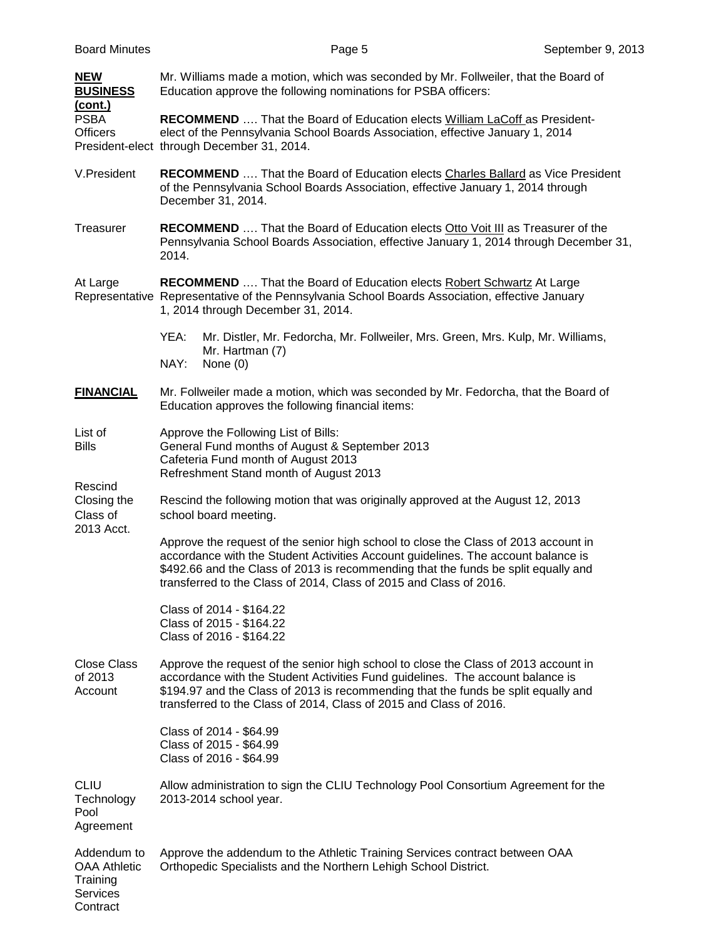| <b>NEW</b><br><b>BUSINESS</b>                                                 | Mr. Williams made a motion, which was seconded by Mr. Follweiler, that the Board of<br>Education approve the following nominations for PSBA officers:                                                                                                                                                                                |  |  |
|-------------------------------------------------------------------------------|--------------------------------------------------------------------------------------------------------------------------------------------------------------------------------------------------------------------------------------------------------------------------------------------------------------------------------------|--|--|
| <u>(cont.)</u><br><b>PSBA</b><br><b>Officers</b>                              | <b>RECOMMEND</b> That the Board of Education elects William LaCoff as President-<br>elect of the Pennsylvania School Boards Association, effective January 1, 2014<br>President-elect through December 31, 2014.                                                                                                                     |  |  |
| V.President                                                                   | RECOMMEND  That the Board of Education elects Charles Ballard as Vice President<br>of the Pennsylvania School Boards Association, effective January 1, 2014 through<br>December 31, 2014.                                                                                                                                            |  |  |
| Treasurer                                                                     | <b>RECOMMEND</b> That the Board of Education elects Otto Voit III as Treasurer of the<br>Pennsylvania School Boards Association, effective January 1, 2014 through December 31,<br>2014.                                                                                                                                             |  |  |
| At Large                                                                      | RECOMMEND  That the Board of Education elects Robert Schwartz At Large<br>Representative Representative of the Pennsylvania School Boards Association, effective January<br>1, 2014 through December 31, 2014.                                                                                                                       |  |  |
|                                                                               | Mr. Distler, Mr. Fedorcha, Mr. Follweiler, Mrs. Green, Mrs. Kulp, Mr. Williams,<br>YEA:<br>Mr. Hartman (7)<br>NAY:<br>None $(0)$                                                                                                                                                                                                     |  |  |
| <b>FINANCIAL</b>                                                              | Mr. Follweiler made a motion, which was seconded by Mr. Fedorcha, that the Board of<br>Education approves the following financial items:                                                                                                                                                                                             |  |  |
| List of<br><b>Bills</b>                                                       | Approve the Following List of Bills:<br>General Fund months of August & September 2013<br>Cafeteria Fund month of August 2013<br>Refreshment Stand month of August 2013                                                                                                                                                              |  |  |
| Rescind<br>Closing the<br>Class of<br>2013 Acct.                              | Rescind the following motion that was originally approved at the August 12, 2013<br>school board meeting.                                                                                                                                                                                                                            |  |  |
|                                                                               | Approve the request of the senior high school to close the Class of 2013 account in<br>accordance with the Student Activities Account guidelines. The account balance is<br>\$492.66 and the Class of 2013 is recommending that the funds be split equally and<br>transferred to the Class of 2014, Class of 2015 and Class of 2016. |  |  |
|                                                                               | Class of 2014 - \$164.22<br>Class of 2015 - \$164.22<br>Class of 2016 - \$164.22                                                                                                                                                                                                                                                     |  |  |
| <b>Close Class</b><br>of 2013<br>Account                                      | Approve the request of the senior high school to close the Class of 2013 account in<br>accordance with the Student Activities Fund guidelines. The account balance is<br>\$194.97 and the Class of 2013 is recommending that the funds be split equally and<br>transferred to the Class of 2014, Class of 2015 and Class of 2016.    |  |  |
|                                                                               | Class of 2014 - \$64.99<br>Class of 2015 - \$64.99<br>Class of 2016 - \$64.99                                                                                                                                                                                                                                                        |  |  |
| <b>CLIU</b><br>Technology<br>Pool<br>Agreement                                | Allow administration to sign the CLIU Technology Pool Consortium Agreement for the<br>2013-2014 school year.                                                                                                                                                                                                                         |  |  |
| Addendum to<br><b>OAA Athletic</b><br>Training<br><b>Services</b><br>Contract | Approve the addendum to the Athletic Training Services contract between OAA<br>Orthopedic Specialists and the Northern Lehigh School District.                                                                                                                                                                                       |  |  |